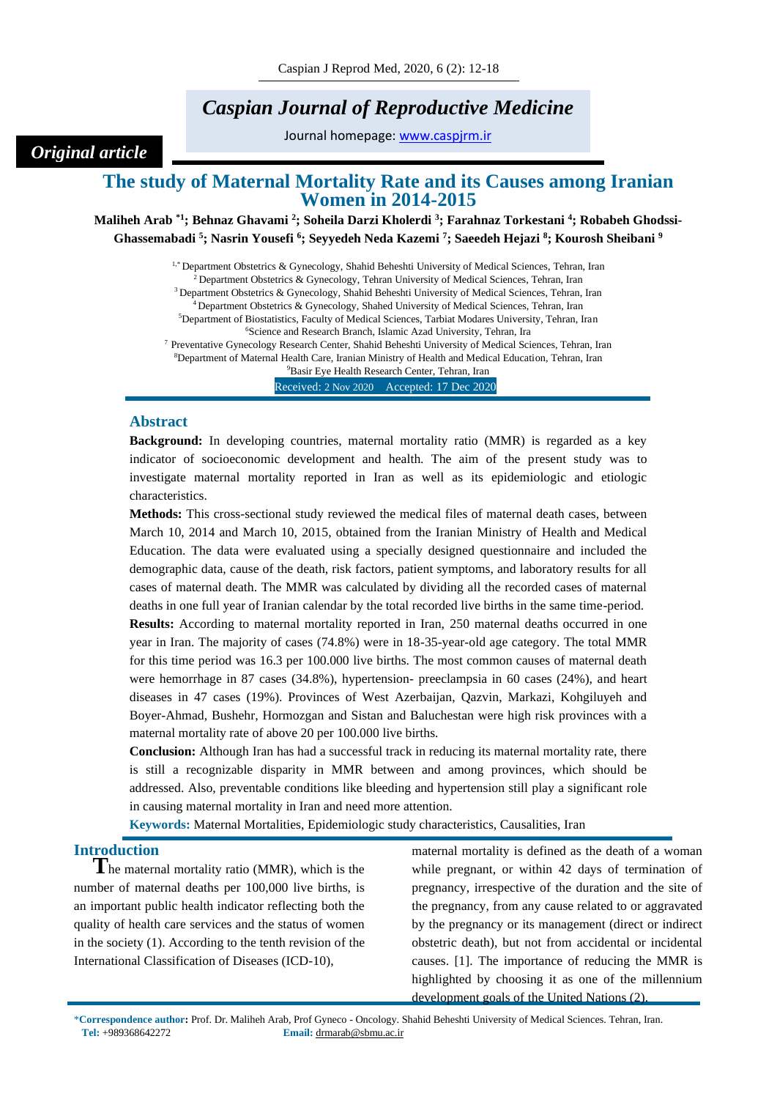# *Caspian Journal of Reproductive Medicine*

Journal homepage: [www.caspjrm.ir](http://www.caspjrm.ir/)

# **The study of Maternal Mortality Rate and its Causes among Iranian Women in 2014-2015**

**Maliheh Arab \*1; Behnaz Ghavami <sup>2</sup> ; Soheila Darzi Kholerdi <sup>3</sup> ; Farahnaz Torkestani <sup>4</sup> ; Robabeh Ghodssi-Ghassemabadi <sup>5</sup> ; Nasrin Yousefi <sup>6</sup> ; Seyyedeh Neda Kazemi <sup>7</sup> ; Saeedeh Hejazi <sup>8</sup> ; Kourosh Sheibani <sup>9</sup>**

> <sup>1,\*</sup> Department Obstetrics & Gynecology, Shahid Beheshti University of Medical Sciences, Tehran, Iran  $2^{2}$  Department Obstetrics & Gynecology, Tehran University of Medical Sciences, Tehran, Iran <sup>3</sup> Department Obstetrics & Gynecology, Shahid Beheshti University of Medical Sciences, Tehran, Iran <sup>4</sup> Department Obstetrics & Gynecology, Shahed University of Medical Sciences, Tehran, Iran <sup>5</sup>Department of Biostatistics, Faculty of Medical Sciences, Tarbiat Modares University, Tehran, Iran <sup>6</sup>Science and Research Branch, Islamic Azad University, Tehran, Ira <sup>7</sup> Preventative Gynecology Research Center, Shahid Beheshti University of Medical Sciences, Tehran, Iran

> <sup>8</sup>Department of Maternal Health Care, Iranian Ministry of Health and Medical Education, Tehran, Iran <sup>9</sup>Basir Eye Health Research Center, Tehran, Iran

Received: 2 Nov 2020 Accepted: 17 Dec 2020

# **Abstract**

*Original article*

**Background:** In developing countries, maternal mortality ratio (MMR) is regarded as a key indicator of socioeconomic development and health. The aim of the present study was to investigate maternal mortality reported in Iran as well as its epidemiologic and etiologic characteristics.

**Methods:** This cross-sectional study reviewed the medical files of maternal death cases, between March 10, 2014 and March 10, 2015, obtained from the Iranian Ministry of Health and Medical Education. The data were evaluated using a specially designed questionnaire and included the demographic data, cause of the death, risk factors, patient symptoms, and laboratory results for all cases of maternal death. The MMR was calculated by dividing all the recorded cases of maternal deaths in one full year of Iranian calendar by the total recorded live births in the same time-period. **Results:** According to maternal mortality reported in Iran, 250 maternal deaths occurred in one year in Iran. The majority of cases (74.8%) were in 18-35-year-old age category. The total MMR for this time period was 16.3 per 100.000 live births. The most common causes of maternal death were hemorrhage in 87 cases (34.8%), hypertension- preeclampsia in 60 cases (24%), and heart diseases in 47 cases (19%). Provinces of West Azerbaijan, Qazvin, Markazi, Kohgiluyeh and Boyer-Ahmad, Bushehr, Hormozgan and Sistan and Baluchestan were high risk provinces with a maternal mortality rate of above 20 per 100.000 live births.

**Conclusion:** Although Iran has had a successful track in reducing its maternal mortality rate, there is still a recognizable disparity in MMR between and among provinces, which should be addressed. Also, preventable conditions like bleeding and hypertension still play a significant role in causing maternal mortality in Iran and need more attention.

**Keywords:** Maternal Mortalities, Epidemiologic study characteristics, Causalities, Iran

# **Introduction**

**T**he maternal mortality ratio (MMR), which is the number of maternal deaths per 100,000 live births, is an important public health indicator reflecting both the quality of health care services and the status of women in the society (1). According to the tenth revision of the International Classification of Diseases (ICD-10),

maternal mortality is defined as the death of a woman while pregnant, or within 42 days of termination of pregnancy, irrespective of the duration and the site of the pregnancy, from any cause related to or aggravated by the pregnancy or its management (direct or indirect obstetric death), but not from accidental or incidental causes. [1]. The importance of reducing the MMR is highlighted by choosing it as one of the millennium development goals of the United Nations (2).

\***Correspondence author:** Prof. Dr. Maliheh Arab, Prof Gyneco - Oncology. Shahid Beheshti University of Medical Sciences. Tehran, Iran. **Tel:** +989368642272 **Email:** drmarab@sbmu.ac.ir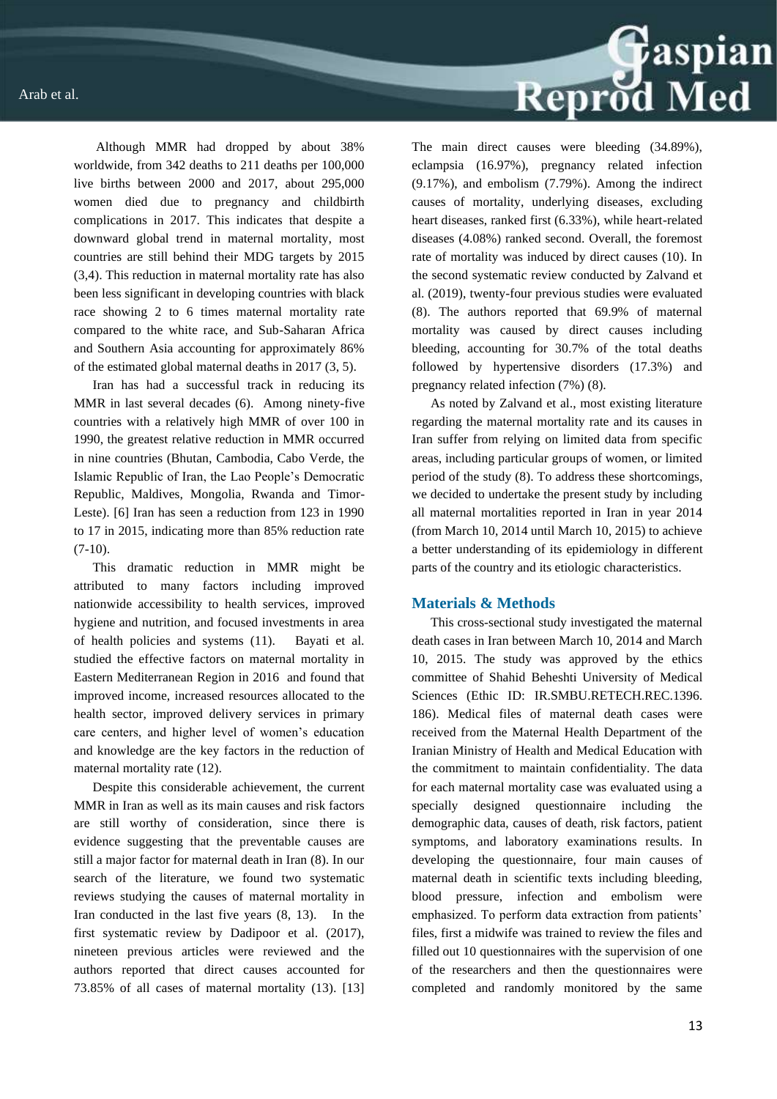Although MMR had dropped by about 38% worldwide, from 342 deaths to 211 deaths per 100,000 live births between 2000 and 2017, about 295,000 women died due to pregnancy and childbirth complications in 2017. This indicates that despite a downward global trend in maternal mortality, most countries are still behind their MDG targets by 2015 (3,4). This reduction in maternal mortality rate has also been less significant in developing countries with black race showing 2 to 6 times maternal mortality rate compared to the white race, and Sub-Saharan Africa and Southern Asia accounting for approximately 86% of the estimated global maternal deaths in 2017 (3, 5).

Iran has had a successful track in reducing its MMR in last several decades (6). Among ninety-five countries with a relatively high MMR of over 100 in 1990, the greatest relative reduction in MMR occurred in nine countries (Bhutan, Cambodia, Cabo Verde, the Islamic Republic of Iran, the Lao People's Democratic Republic, Maldives, Mongolia, Rwanda and Timor-Leste). [6] Iran has seen a reduction from 123 in 1990 to 17 in 2015, indicating more than 85% reduction rate  $(7-10)$ .

This dramatic reduction in MMR might be attributed to many factors including improved nationwide accessibility to health services, improved hygiene and nutrition, and focused investments in area of health policies and systems (11). Bayati et al. studied the effective factors on maternal mortality in Eastern Mediterranean Region in 2016 and found that improved income, increased resources allocated to the health sector, improved delivery services in primary care centers, and higher level of women's education and knowledge are the key factors in the reduction of maternal mortality rate (12).

Despite this considerable achievement, the current MMR in Iran as well as its main causes and risk factors are still worthy of consideration, since there is evidence suggesting that the preventable causes are still a major factor for maternal death in Iran (8). In our search of the literature, we found two systematic reviews studying the causes of maternal mortality in Iran conducted in the last five years (8, 13). In the first systematic review by Dadipoor et al. (2017), nineteen previous articles were reviewed and the authors reported that direct causes accounted for 73.85% of all cases of maternal mortality (13). [13]

Reprod Med The main direct causes were bleeding (34.89%), eclampsia (16.97%), pregnancy related infection (9.17%), and embolism (7.79%). Among the indirect causes of mortality, underlying diseases, excluding heart diseases, ranked first (6.33%), while heart-related diseases (4.08%) ranked second. Overall, the foremost rate of mortality was induced by direct causes (10). In the second systematic review conducted by Zalvand et al. (2019), twenty-four previous studies were evaluated (8). The authors reported that 69.9% of maternal mortality was caused by direct causes including bleeding, accounting for 30.7% of the total deaths followed by hypertensive disorders (17.3%) and

As noted by Zalvand et al., most existing literature regarding the maternal mortality rate and its causes in Iran suffer from relying on limited data from specific areas, including particular groups of women, or limited period of the study (8). To address these shortcomings, we decided to undertake the present study by including all maternal mortalities reported in Iran in year 2014 (from March 10, 2014 until March 10, 2015) to achieve a better understanding of its epidemiology in different parts of the country and its etiologic characteristics.

pregnancy related infection (7%) (8).

#### **Materials & Methods**

This cross-sectional study investigated the maternal death cases in Iran between March 10, 2014 and March 10, 2015. The study was approved by the ethics committee of Shahid Beheshti University of Medical Sciences (Ethic ID: IR.SMBU.RETECH.REC.1396. 186). Medical files of maternal death cases were received from the Maternal Health Department of the Iranian Ministry of Health and Medical Education with the commitment to maintain confidentiality. The data for each maternal mortality case was evaluated using a specially designed questionnaire including the demographic data, causes of death, risk factors, patient symptoms, and laboratory examinations results. In developing the questionnaire, four main causes of maternal death in scientific texts including bleeding, blood pressure, infection and embolism were emphasized. To perform data extraction from patients' files, first a midwife was trained to review the files and filled out 10 questionnaires with the supervision of one of the researchers and then the questionnaires were completed and randomly monitored by the same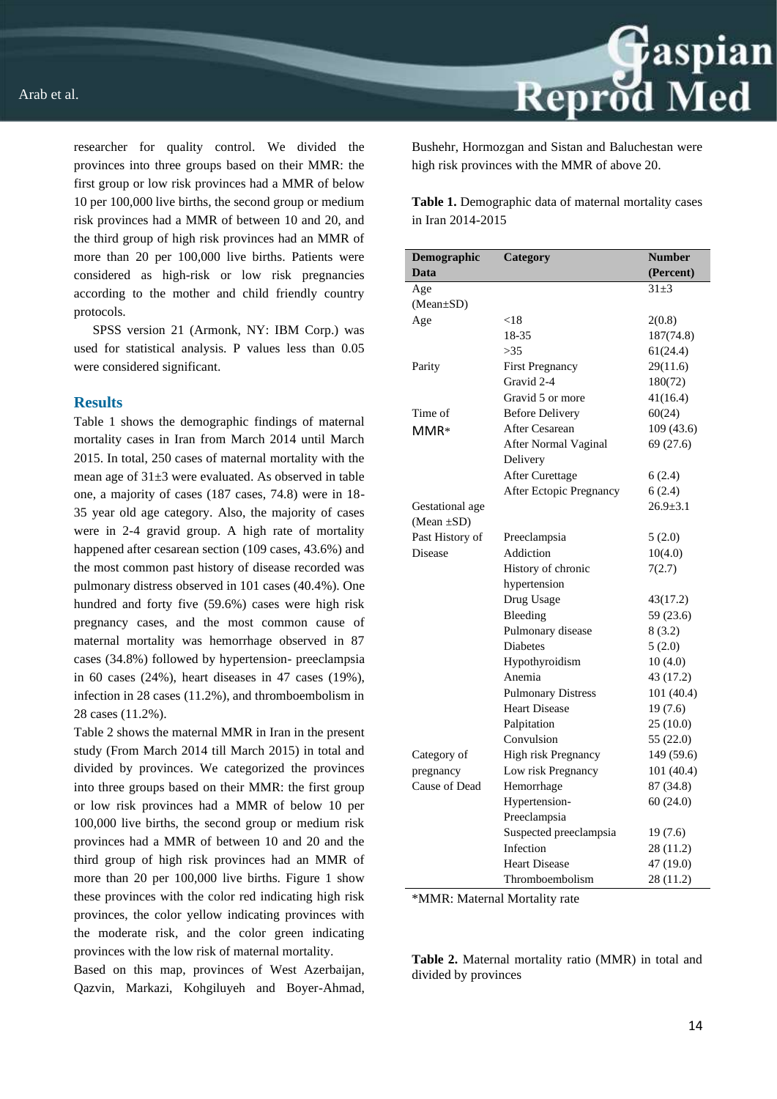

researcher for quality control. We divided the provinces into three groups based on their MMR: the first group or low risk provinces had a MMR of below 10 per 100,000 live births, the second group or medium risk provinces had a MMR of between 10 and 20, and the third group of high risk provinces had an MMR of more than 20 per 100,000 live births. Patients were considered as high-risk or low risk pregnancies according to the mother and child friendly country protocols.

SPSS version 21 (Armonk, NY: IBM Corp.) was used for statistical analysis. P values less than 0.05 were considered significant.

### **Results**

Table 1 shows the demographic findings of maternal mortality cases in Iran from March 2014 until March 2015. In total, 250 cases of maternal mortality with the mean age of 31±3 were evaluated. As observed in table one, a majority of cases (187 cases, 74.8) were in 18- 35 year old age category. Also, the majority of cases were in 2-4 gravid group. A high rate of mortality happened after cesarean section (109 cases, 43.6%) and the most common past history of disease recorded was pulmonary distress observed in 101 cases (40.4%). One hundred and forty five (59.6%) cases were high risk pregnancy cases, and the most common cause of maternal mortality was hemorrhage observed in 87 cases (34.8%) followed by hypertension- preeclampsia in 60 cases (24%), heart diseases in 47 cases (19%), infection in 28 cases (11.2%), and thromboembolism in 28 cases (11.2%).

Table 2 shows the maternal MMR in Iran in the present study (From March 2014 till March 2015) in total and divided by provinces. We categorized the provinces into three groups based on their MMR: the first group or low risk provinces had a MMR of below 10 per 100,000 live births, the second group or medium risk provinces had a MMR of between 10 and 20 and the third group of high risk provinces had an MMR of more than 20 per 100,000 live births. Figure 1 show these provinces with the color red indicating high risk provinces, the color yellow indicating provinces with the moderate risk, and the color green indicating provinces with the low risk of maternal mortality.

Based on this map, provinces of West Azerbaijan, Qazvin, Markazi, Kohgiluyeh and Boyer-Ahmad, Bushehr, Hormozgan and Sistan and Baluchestan were high risk provinces with the MMR of above 20.

**Table 1.** Demographic data of maternal mortality cases in Iran 2014-2015

| Demographic     | Category                       | <b>Number</b>  |
|-----------------|--------------------------------|----------------|
| Data            |                                | (Percent)      |
| Age             |                                | $31 \pm 3$     |
| (Mean±SD)       |                                |                |
| Age             | < 18                           | 2(0.8)         |
|                 | 18-35                          | 187(74.8)      |
|                 | >35                            | 61(24.4)       |
| Parity          | <b>First Pregnancy</b>         | 29(11.6)       |
|                 | Gravid 2-4                     | 180(72)        |
|                 | Gravid 5 or more               | 41(16.4)       |
| Time of         | <b>Before Delivery</b>         | 60(24)         |
| MMR*            | <b>After Cesarean</b>          | 109 (43.6)     |
|                 | After Normal Vaginal           | 69 (27.6)      |
|                 | Delivery                       |                |
|                 | <b>After Curettage</b>         | 6(2.4)         |
|                 | <b>After Ectopic Pregnancy</b> | 6(2.4)         |
| Gestational age |                                | $26.9 \pm 3.1$ |
| $(Mean \pm SD)$ |                                |                |
| Past History of | Preeclampsia                   | 5(2.0)         |
| <b>Disease</b>  | Addiction                      | 10(4.0)        |
|                 | History of chronic             | 7(2.7)         |
|                 | hypertension                   |                |
|                 | Drug Usage                     | 43(17.2)       |
|                 | Bleeding                       | 59 (23.6)      |
|                 | Pulmonary disease              | 8(3.2)         |
|                 | <b>Diabetes</b>                | 5(2.0)         |
|                 | Hypothyroidism                 | 10(4.0)        |
|                 | Anemia                         | 43 (17.2)      |
|                 | <b>Pulmonary Distress</b>      | 101 (40.4)     |
|                 | <b>Heart Disease</b>           | 19(7.6)        |
|                 | Palpitation                    | 25(10.0)       |
|                 | Convulsion                     | 55 (22.0)      |
| Category of     | High risk Pregnancy            | 149 (59.6)     |
| pregnancy       | Low risk Pregnancy             | 101 (40.4)     |
| Cause of Dead   | Hemorrhage                     | 87 (34.8)      |
|                 | Hypertension-                  | 60(24.0)       |
|                 | Preeclampsia                   |                |
|                 | Suspected preeclampsia         | 19(7.6)        |
|                 | Infection                      | 28 (11.2)      |
|                 | <b>Heart Disease</b>           | 47 (19.0)      |
|                 | Thromboembolism                | 28 (11.2)      |

\*MMR: Maternal Mortality rate

**Table 2.** Maternal mortality ratio (MMR) in total and divided by provinces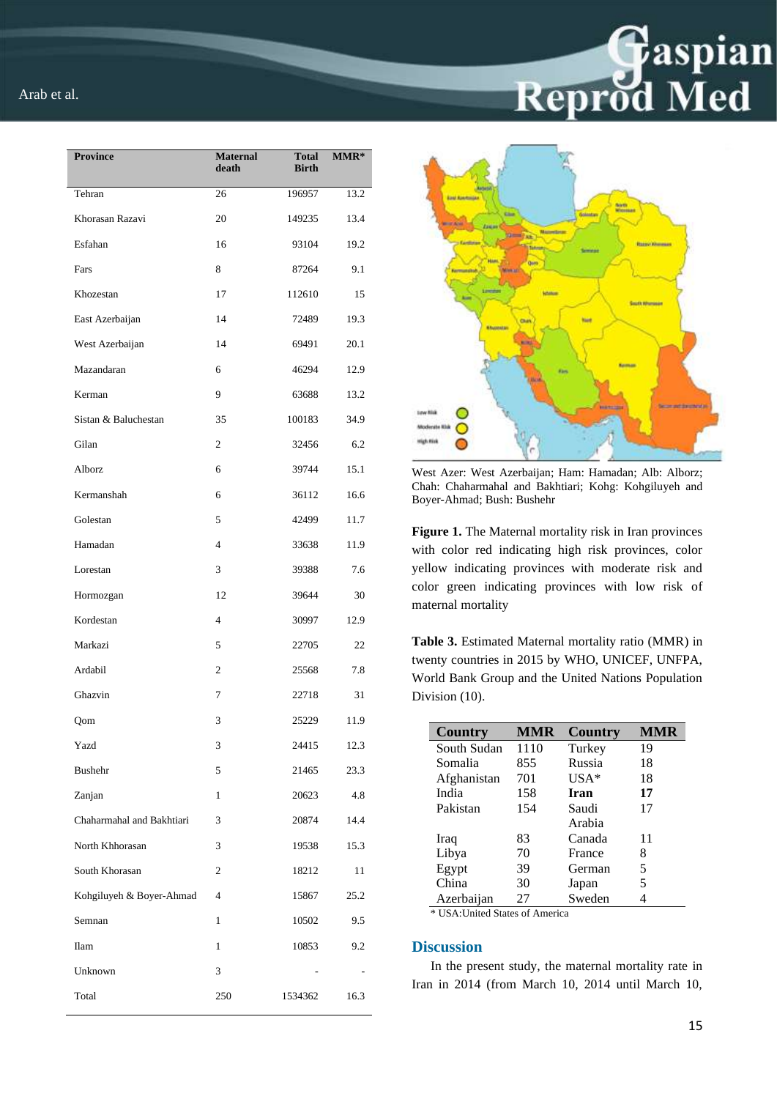| <b>Province</b>           | <b>Maternal</b><br>death | Total<br><b>Birth</b> | MMR* |
|---------------------------|--------------------------|-----------------------|------|
| Tehran                    | 26                       | 196957                | 13.2 |
| Khorasan Razavi           | 20                       | 149235                | 13.4 |
| Esfahan                   | 16                       | 93104                 | 19.2 |
| Fars                      | 8                        | 87264                 | 9.1  |
| Khozestan                 | 17                       | 112610                | 15   |
| East Azerbaijan           | 14                       | 72489                 | 19.3 |
| West Azerbaijan           | 14                       | 69491                 | 20.1 |
| Mazandaran                | 6                        | 46294                 | 12.9 |
| Kerman                    | 9                        | 63688                 | 13.2 |
| Sistan & Baluchestan      | 35                       | 100183                | 34.9 |
| Gilan                     | $\overline{c}$           | 32456                 | 6.2  |
| Alborz                    | 6                        | 39744                 | 15.1 |
| Kermanshah                | 6                        | 36112                 | 16.6 |
| Golestan                  | 5                        | 42499                 | 11.7 |
| Hamadan                   | $\overline{4}$           | 33638                 | 11.9 |
| Lorestan                  | 3                        | 39388                 | 7.6  |
| Hormozgan                 | 12                       | 39644                 | 30   |
| Kordestan                 | $\overline{4}$           | 30997                 | 12.9 |
| Markazi                   | 5                        | 22705                 | 22   |
| Ardabil                   | 2                        | 25568                 | 7.8  |
| Ghazvin                   | 7                        | 22718                 | 31   |
| Qom                       | 3                        | 25229                 | 11.9 |
| Yazd                      | 3                        | 24415                 | 12.3 |
| <b>Bushehr</b>            | 5                        | 21465                 | 23.3 |
| Zanjan                    | 1                        | 20623                 | 4.8  |
| Chaharmahal and Bakhtiari | 3                        | 20874                 | 14.4 |
| North Khhorasan           | 3                        | 19538                 | 15.3 |
| South Khorasan            | $\overline{c}$           | 18212                 | 11   |
| Kohgiluyeh & Boyer-Ahmad  | 4                        | 15867                 | 25.2 |
| Semnan                    | $\mathbf{1}$             | 10502                 | 9.5  |
| Ilam                      | $\mathbf{1}$             | 10853                 | 9.2  |
| Unknown                   | 3                        |                       |      |
| Total                     | 250                      | 1534362               | 16.3 |



**Gaspian**<br>Reprod Med

West Azer: West Azerbaijan; Ham: Hamadan; Alb: Alborz; Chah: Chaharmahal and Bakhtiari; Kohg: Kohgiluyeh and Boyer-Ahmad; Bush: Bushehr

**Figure 1.** The Maternal mortality risk in Iran provinces with color red indicating high risk provinces, color yellow indicating provinces with moderate risk and color green indicating provinces with low risk of maternal mortality

**Table 3.** Estimated Maternal mortality ratio (MMR) in twenty countries in 2015 by WHO, UNICEF, UNFPA, World Bank Group and the United Nations Population Division (10).

| <b>Country</b>                           | MMR  | <b>Country</b> | MMR |
|------------------------------------------|------|----------------|-----|
| South Sudan                              | 1110 | Turkey         | 19  |
| Somalia                                  | 855  | Russia         | 18  |
| Afghanistan                              | 701  | $USA*$         | 18  |
| India                                    | 158  | <b>Iran</b>    | 17  |
| Pakistan                                 | 154  | Saudi          | 17  |
|                                          |      | Arabia         |     |
| Iraq                                     | 83   | Canada         | 11  |
| Libya                                    | 70   | France         | 8   |
| Egypt                                    | 39   | German         | 5   |
| China                                    | 30   | Japan          | 5   |
| Azerbaijan                               | 27   | Sweden         |     |
| <b>* IISA</b> Historic States of America |      |                |     |

USA: United States of America

# **Discussion**

In the present study, the maternal mortality rate in Iran in 2014 (from March 10, 2014 until March 10,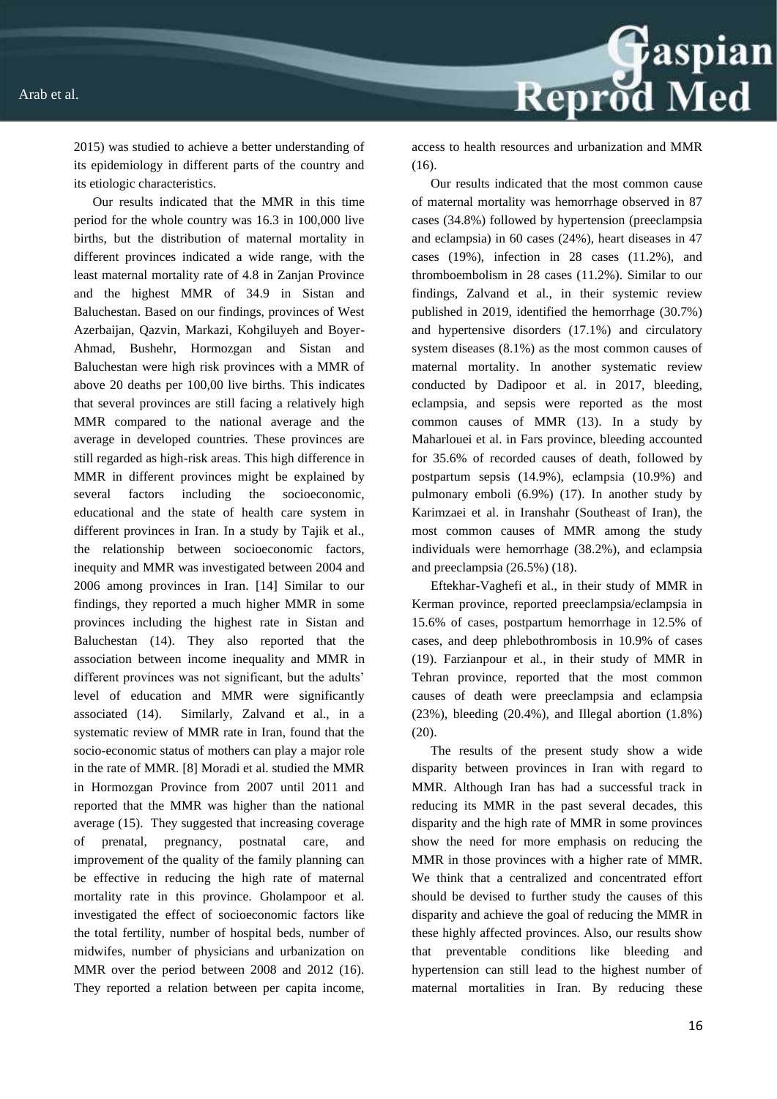Reprod Med

2015) was studied to achieve a better understanding of its epidemiology in different parts of the country and its etiologic characteristics.

Our results indicated that the MMR in this time period for the whole country was 16.3 in 100,000 live births, but the distribution of maternal mortality in different provinces indicated a wide range, with the least maternal mortality rate of 4.8 in Zanjan Province and the highest MMR of 34.9 in Sistan and Baluchestan. Based on our findings, provinces of West Azerbaijan, Qazvin, Markazi, Kohgiluyeh and Boyer-Ahmad, Bushehr, Hormozgan and Sistan and Baluchestan were high risk provinces with a MMR of above 20 deaths per 100,00 live births. This indicates that several provinces are still facing a relatively high MMR compared to the national average and the average in developed countries. These provinces are still regarded as high-risk areas. This high difference in MMR in different provinces might be explained by several factors including the socioeconomic, educational and the state of health care system in different provinces in Iran. In a study by Tajik et al., the relationship between socioeconomic factors, inequity and MMR was investigated between 2004 and 2006 among provinces in Iran. [14] Similar to our findings, they reported a much higher MMR in some provinces including the highest rate in Sistan and Baluchestan (14). They also reported that the association between income inequality and MMR in different provinces was not significant, but the adults' level of education and MMR were significantly associated (14). Similarly, Zalvand et al., in a systematic review of MMR rate in Iran, found that the socio-economic status of mothers can play a major role in the rate of MMR. [8] Moradi et al. studied the MMR in Hormozgan Province from 2007 until 2011 and reported that the MMR was higher than the national average (15). They suggested that increasing coverage of prenatal, pregnancy, postnatal care, and improvement of the quality of the family planning can be effective in reducing the high rate of maternal mortality rate in this province. Gholampoor et al. investigated the effect of socioeconomic factors like the total fertility, number of hospital beds, number of midwifes, number of physicians and urbanization on MMR over the period between 2008 and 2012 (16). They reported a relation between per capita income,

access to health resources and urbanization and MMR (16).

Our results indicated that the most common cause of maternal mortality was hemorrhage observed in 87 cases (34.8%) followed by hypertension (preeclampsia and eclampsia) in 60 cases (24%), heart diseases in 47 cases (19%), infection in 28 cases (11.2%), and thromboembolism in 28 cases (11.2%). Similar to our findings, Zalvand et al., in their systemic review published in 2019, identified the hemorrhage (30.7%) and hypertensive disorders (17.1%) and circulatory system diseases (8.1%) as the most common causes of maternal mortality. In another systematic review conducted by Dadipoor et al. in 2017, bleeding, eclampsia, and sepsis were reported as the most common causes of MMR (13). In a study by Maharlouei et al. in Fars province, bleeding accounted for 35.6% of recorded causes of death, followed by postpartum sepsis (14.9%), eclampsia (10.9%) and pulmonary emboli (6.9%) (17). In another study by Karimzaei et al. in Iranshahr (Southeast of Iran), the most common causes of MMR among the study individuals were hemorrhage (38.2%), and eclampsia and preeclampsia (26.5%) (18).

Eftekhar-Vaghefi et al., in their study of MMR in Kerman province, reported preeclampsia/eclampsia in 15.6% of cases, postpartum hemorrhage in 12.5% of cases, and deep phlebothrombosis in 10.9% of cases (19). Farzianpour et al., in their study of MMR in Tehran province, reported that the most common causes of death were preeclampsia and eclampsia  $(23\%)$ , bleeding  $(20.4\%)$ , and Illegal abortion  $(1.8\%)$ (20).

The results of the present study show a wide disparity between provinces in Iran with regard to MMR. Although Iran has had a successful track in reducing its MMR in the past several decades, this disparity and the high rate of MMR in some provinces show the need for more emphasis on reducing the MMR in those provinces with a higher rate of MMR. We think that a centralized and concentrated effort should be devised to further study the causes of this disparity and achieve the goal of reducing the MMR in these highly affected provinces. Also, our results show that preventable conditions like bleeding and hypertension can still lead to the highest number of maternal mortalities in Iran. By reducing these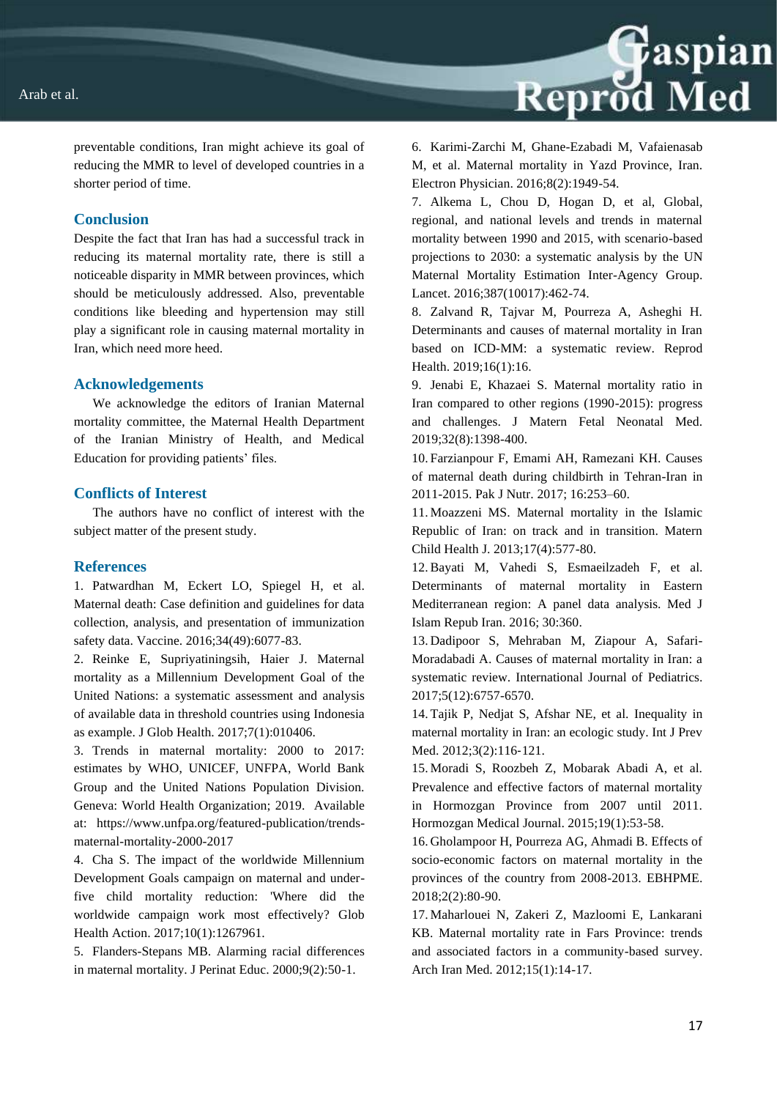

preventable conditions, Iran might achieve its goal of reducing the MMR to level of developed countries in a shorter period of time.

# **Conclusion**

Despite the fact that Iran has had a successful track in reducing its maternal mortality rate, there is still a noticeable disparity in MMR between provinces, which should be meticulously addressed. Also, preventable conditions like bleeding and hypertension may still play a significant role in causing maternal mortality in Iran, which need more heed.

#### **Acknowledgements**

We acknowledge the editors of Iranian Maternal mortality committee, the Maternal Health Department of the Iranian Ministry of Health, and Medical Education for providing patients' files.

#### **Conflicts of Interest**

The authors have no conflict of interest with the subject matter of the present study.

#### **References**

1. Patwardhan M, Eckert LO, Spiegel H, et al. Maternal death: Case definition and guidelines for data collection, analysis, and presentation of immunization safety data. Vaccine. 2016;34(49):6077-83.

2. Reinke E, Supriyatiningsih, Haier J. Maternal mortality as a Millennium Development Goal of the United Nations: a systematic assessment and analysis of available data in threshold countries using Indonesia as example. J Glob Health. 2017;7(1):010406.

3. Trends in maternal mortality: 2000 to 2017: estimates by WHO, UNICEF, UNFPA, World Bank Group and the United Nations Population Division. Geneva: World Health Organization; 2019. Available at: https://www.unfpa.org/featured-publication/trendsmaternal-mortality-2000-2017

4. Cha S. The impact of the worldwide Millennium Development Goals campaign on maternal and underfive child mortality reduction: 'Where did the worldwide campaign work most effectively? Glob Health Action. 2017;10(1):1267961.

5. Flanders-Stepans MB. Alarming racial differences in maternal mortality. J Perinat Educ. 2000;9(2):50-1.

6. Karimi-Zarchi M, Ghane-Ezabadi M, Vafaienasab M, et al. Maternal mortality in Yazd Province, Iran. Electron Physician. 2016;8(2):1949-54.

7. Alkema L, Chou D, Hogan D, et al, Global, regional, and national levels and trends in maternal mortality between 1990 and 2015, with scenario-based projections to 2030: a systematic analysis by the UN Maternal Mortality Estimation Inter-Agency Group. Lancet. 2016;387(10017):462-74.

8. Zalvand R, Tajvar M, Pourreza A, Asheghi H. Determinants and causes of maternal mortality in Iran based on ICD-MM: a systematic review. Reprod Health. 2019;16(1):16.

9. Jenabi E, Khazaei S. Maternal mortality ratio in Iran compared to other regions (1990-2015): progress and challenges. J Matern Fetal Neonatal Med. 2019;32(8):1398-400.

10. Farzianpour F, Emami AH, Ramezani KH. Causes of maternal death during childbirth in Tehran-Iran in 2011-2015. Pak J Nutr. 2017; 16:253–60.

11. Moazzeni MS. Maternal mortality in the Islamic Republic of Iran: on track and in transition. Matern Child Health J. 2013;17(4):577-80.

12.Bayati M, Vahedi S, Esmaeilzadeh F, et al. Determinants of maternal mortality in Eastern Mediterranean region: A panel data analysis. Med J Islam Repub Iran. 2016; 30:360.

13. Dadipoor S, Mehraban M, Ziapour A, Safari-Moradabadi A. Causes of maternal mortality in Iran: a systematic review. International Journal of Pediatrics. 2017;5(12):6757-6570.

14. Tajik P, Nedjat S, Afshar NE, et al. Inequality in maternal mortality in Iran: an ecologic study. Int J Prev Med. 2012;3(2):116‐121.

15. Moradi S, Roozbeh Z, Mobarak Abadi A, et al. Prevalence and effective factors of maternal mortality in Hormozgan Province from 2007 until 2011. Hormozgan Medical Journal. 2015;19(1):53-58.

16. Gholampoor H, Pourreza AG, Ahmadi B. Effects of socio-economic factors on maternal mortality in the provinces of the country from 2008-2013. EBHPME. 2018;2(2):80-90.

17. Maharlouei N, Zakeri Z, Mazloomi E, Lankarani KB. Maternal mortality rate in Fars Province: trends and associated factors in a community-based survey. Arch Iran Med. 2012;15(1):14-17.